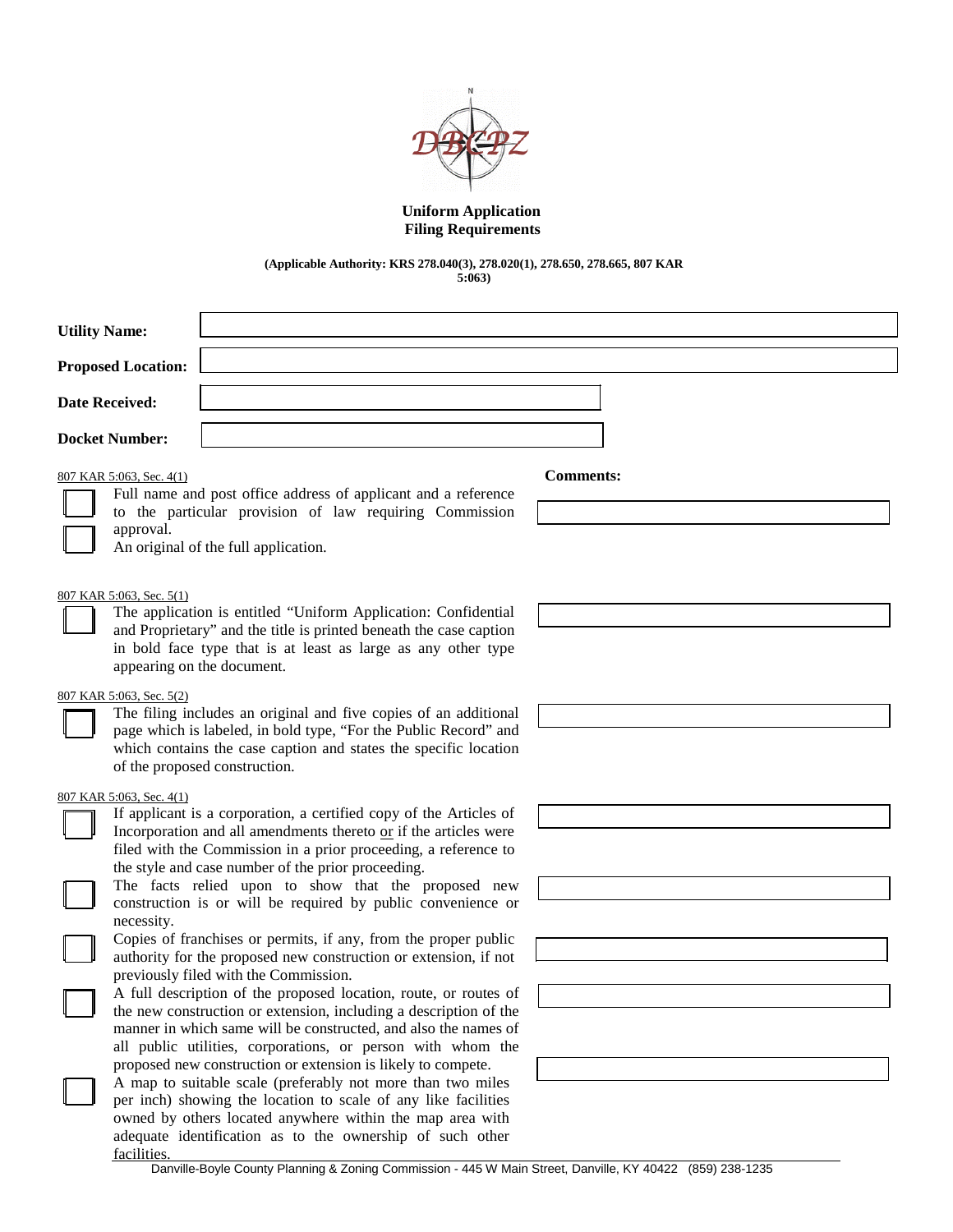

# **Uniform Application Filing Requirements**

### **(Applicable Authority: KRS 278.040(3), 278.020(1), 278.650, 278.665, 807 KAR 5:063)**

| <b>Utility Name:</b>      |                                                                                                                                                                                                                                                                                                                                                                                                                    |                  |  |  |
|---------------------------|--------------------------------------------------------------------------------------------------------------------------------------------------------------------------------------------------------------------------------------------------------------------------------------------------------------------------------------------------------------------------------------------------------------------|------------------|--|--|
| <b>Proposed Location:</b> |                                                                                                                                                                                                                                                                                                                                                                                                                    |                  |  |  |
| <b>Date Received:</b>     |                                                                                                                                                                                                                                                                                                                                                                                                                    |                  |  |  |
| <b>Docket Number:</b>     |                                                                                                                                                                                                                                                                                                                                                                                                                    |                  |  |  |
|                           | 807 KAR 5:063, Sec. 4(1)<br>Full name and post office address of applicant and a reference<br>to the particular provision of law requiring Commission<br>approval.                                                                                                                                                                                                                                                 | <b>Comments:</b> |  |  |
|                           | An original of the full application.<br>807 KAR 5:063, Sec. 5(1)<br>The application is entitled "Uniform Application: Confidential<br>and Proprietary" and the title is printed beneath the case caption<br>in bold face type that is at least as large as any other type<br>appearing on the document.                                                                                                            |                  |  |  |
|                           | 807 KAR 5:063, Sec. 5(2)<br>The filing includes an original and five copies of an additional<br>page which is labeled, in bold type, "For the Public Record" and<br>which contains the case caption and states the specific location<br>of the proposed construction.                                                                                                                                              |                  |  |  |
|                           | 807 KAR 5:063, Sec. 4(1)<br>If applicant is a corporation, a certified copy of the Articles of<br>Incorporation and all amendments thereto or if the articles were<br>filed with the Commission in a prior proceeding, a reference to<br>the style and case number of the prior proceeding.<br>The facts relied upon to show that the proposed new<br>construction is or will be required by public convenience or |                  |  |  |
|                           | necessity.<br>Copies of franchises or permits, if any, from the proper public<br>authority for the proposed new construction or extension, if not<br>previously filed with the Commission.                                                                                                                                                                                                                         |                  |  |  |
|                           | A full description of the proposed location, route, or routes of<br>the new construction or extension, including a description of the<br>manner in which same will be constructed, and also the names of<br>all public utilities, corporations, or person with whom the                                                                                                                                            |                  |  |  |
|                           | proposed new construction or extension is likely to compete.<br>A map to suitable scale (preferably not more than two miles<br>per inch) showing the location to scale of any like facilities<br>owned by others located anywhere within the map area with<br>adequate identification as to the ownership of such other<br>facilities.                                                                             |                  |  |  |

Danville-Boyle County Planning & Zoning Commission - 445 W Main Street, Danville, KY 40422 (859) 238-1235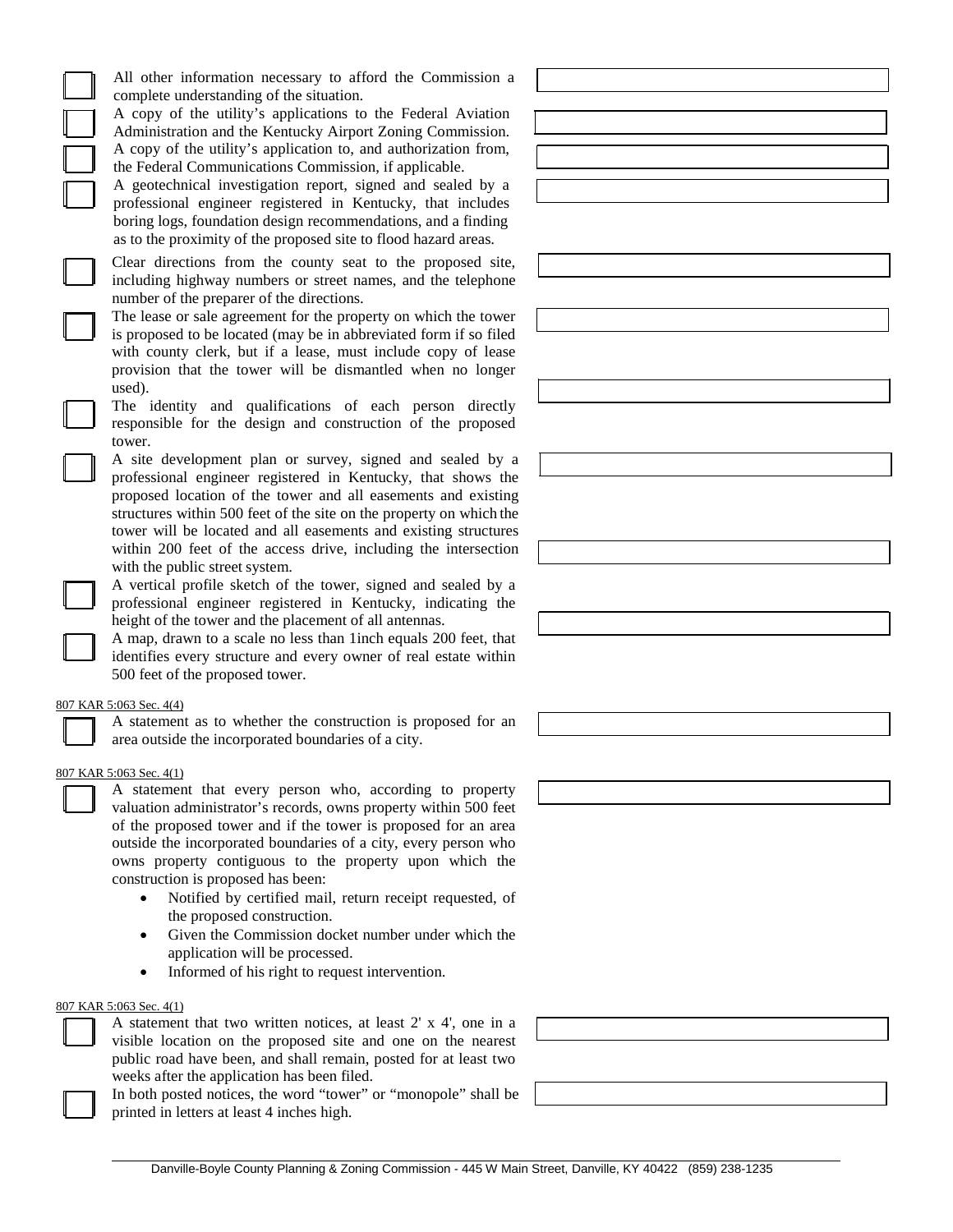All other information necessary to afford the Commission a complete understanding of the situation.

A copy of the utility's applications to the Federal Aviation Administration and the Kentucky Airport Zoning Commission. A copy of the utility's application to, and authorization from, the Federal Communications Commission, if applicable.

A geotechnical investigation report, signed and sealed by a professional engineer registered in Kentucky, that includes boring logs, foundation design recommendations, and a finding as to the proximity of the proposed site to flood hazard areas.

Clear directions from the county seat to the proposed site, including highway numbers or street names, and the telephone number of the preparer of the directions.

The lease or sale agreement for the property on which the tower is proposed to be located (may be in abbreviated form if so filed with county clerk, but if a lease, must include copy of lease provision that the tower will be dismantled when no longer used).

The identity and qualifications of each person directly responsible for the design and construction of the proposed tower.

A site development plan or survey, signed and sealed by a professional engineer registered in Kentucky, that shows the proposed location of the tower and all easements and existing structures within 500 feet of the site on the property on which the tower will be located and all easements and existing structures within 200 feet of the access drive, including the intersection with the public street system.

A vertical profile sketch of the tower, signed and sealed by a professional engineer registered in Kentucky, indicating the height of the tower and the placement of all antennas.

A map, drawn to a scale no less than 1inch equals 200 feet, that identifies every structure and every owner of real estate within 500 feet of the proposed tower.

### 807 KAR 5:063 Sec. 4(4)

A statement as to whether the construction is proposed for an area outside the incorporated boundaries of a city.

#### 807 KAR 5:063 Sec. 4(1)

A statement that every person who, according to property valuation administrator's records, owns property within 500 feet of the proposed tower and if the tower is proposed for an area outside the incorporated boundaries of a city, every person who owns property contiguous to the property upon which the construction is proposed has been:

- Notified by certified mail, return receipt requested, of the proposed construction.
- Given the Commission docket number under which the application will be processed.
- Informed of his right to request intervention.

#### 807 KAR 5:063 Sec. 4(1)

A statement that two written notices, at least 2' x 4', one in a visible location on the proposed site and one on the nearest public road have been, and shall remain, posted for at least two weeks after the application has been filed.

In both posted notices, the word "tower" or "monopole" shall be printed in letters at least 4 inches high.